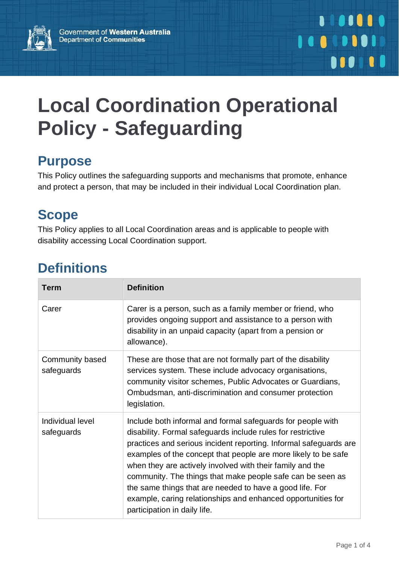

# **Local Coordination Operational Policy - Safeguarding**

## **Purpose**

This Policy outlines the safeguarding supports and mechanisms that promote, enhance and protect a person, that may be included in their individual Local Coordination plan.

# **Scope**

This Policy applies to all Local Coordination areas and is applicable to people with disability accessing Local Coordination support.

# **Definitions**

| <b>Term</b>                    | <b>Definition</b>                                                                                                                                                                                                                                                                                                                                                                                                                                                                                                                                        |
|--------------------------------|----------------------------------------------------------------------------------------------------------------------------------------------------------------------------------------------------------------------------------------------------------------------------------------------------------------------------------------------------------------------------------------------------------------------------------------------------------------------------------------------------------------------------------------------------------|
| Carer                          | Carer is a person, such as a family member or friend, who<br>provides ongoing support and assistance to a person with<br>disability in an unpaid capacity (apart from a pension or<br>allowance).                                                                                                                                                                                                                                                                                                                                                        |
| Community based<br>safeguards  | These are those that are not formally part of the disability<br>services system. These include advocacy organisations,<br>community visitor schemes, Public Advocates or Guardians,<br>Ombudsman, anti-discrimination and consumer protection<br>legislation.                                                                                                                                                                                                                                                                                            |
| Individual level<br>safeguards | Include both informal and formal safeguards for people with<br>disability. Formal safeguards include rules for restrictive<br>practices and serious incident reporting. Informal safeguards are<br>examples of the concept that people are more likely to be safe<br>when they are actively involved with their family and the<br>community. The things that make people safe can be seen as<br>the same things that are needed to have a good life. For<br>example, caring relationships and enhanced opportunities for<br>participation in daily life. |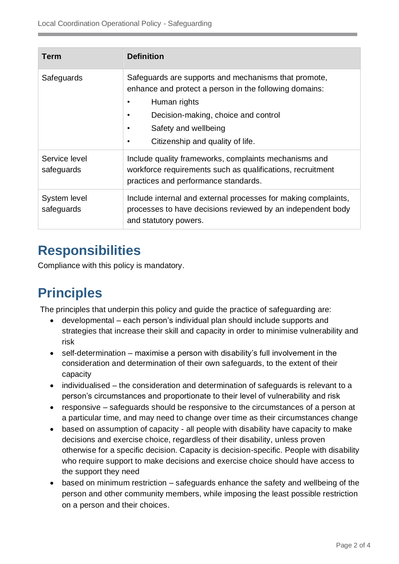| <b>Term</b>                 | <b>Definition</b>                                                                                                                                                                                                                 |  |
|-----------------------------|-----------------------------------------------------------------------------------------------------------------------------------------------------------------------------------------------------------------------------------|--|
| Safeguards                  | Safeguards are supports and mechanisms that promote,<br>enhance and protect a person in the following domains:<br>Human rights<br>Decision-making, choice and control<br>Safety and wellbeing<br>Citizenship and quality of life. |  |
| Service level<br>safeguards | Include quality frameworks, complaints mechanisms and<br>workforce requirements such as qualifications, recruitment<br>practices and performance standards.                                                                       |  |
| System level<br>safeguards  | Include internal and external processes for making complaints,<br>processes to have decisions reviewed by an independent body<br>and statutory powers.                                                                            |  |

## **Responsibilities**

Compliance with this policy is mandatory.

# **Principles**

The principles that underpin this policy and guide the practice of safeguarding are:

- developmental each person's individual plan should include supports and strategies that increase their skill and capacity in order to minimise vulnerability and risk
- self-determination maximise a person with disability's full involvement in the consideration and determination of their own safeguards, to the extent of their capacity
- individualised the consideration and determination of safeguards is relevant to a person's circumstances and proportionate to their level of vulnerability and risk
- responsive safeguards should be responsive to the circumstances of a person at a particular time, and may need to change over time as their circumstances change
- based on assumption of capacity all people with disability have capacity to make decisions and exercise choice, regardless of their disability, unless proven otherwise for a specific decision. Capacity is decision-specific. People with disability who require support to make decisions and exercise choice should have access to the support they need
- based on minimum restriction safeguards enhance the safety and wellbeing of the person and other community members, while imposing the least possible restriction on a person and their choices.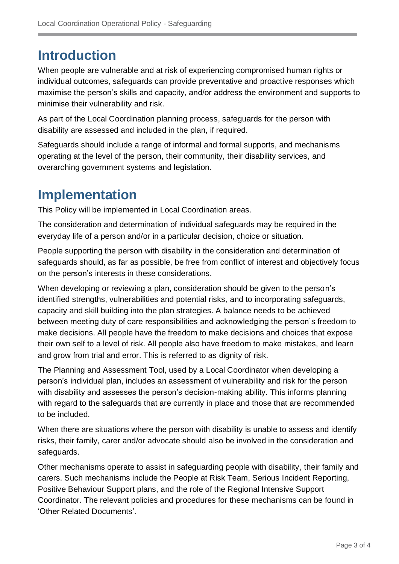#### **Introduction**

When people are vulnerable and at risk of experiencing compromised human rights or individual outcomes, safeguards can provide preventative and proactive responses which maximise the person's skills and capacity, and/or address the environment and supports to minimise their vulnerability and risk.

As part of the Local Coordination planning process, safeguards for the person with disability are assessed and included in the plan, if required.

Safeguards should include a range of informal and formal supports, and mechanisms operating at the level of the person, their community, their disability services, and overarching government systems and legislation.

## **Implementation**

This Policy will be implemented in Local Coordination areas.

The consideration and determination of individual safeguards may be required in the everyday life of a person and/or in a particular decision, choice or situation.

People supporting the person with disability in the consideration and determination of safeguards should, as far as possible, be free from conflict of interest and objectively focus on the person's interests in these considerations.

When developing or reviewing a plan, consideration should be given to the person's identified strengths, vulnerabilities and potential risks, and to incorporating safeguards, capacity and skill building into the plan strategies. A balance needs to be achieved between meeting duty of care responsibilities and acknowledging the person's freedom to make decisions. All people have the freedom to make decisions and choices that expose their own self to a level of risk. All people also have freedom to make mistakes, and learn and grow from trial and error. This is referred to as dignity of risk.

The Planning and Assessment Tool, used by a Local Coordinator when developing a person's individual plan, includes an assessment of vulnerability and risk for the person with disability and assesses the person's decision-making ability. This informs planning with regard to the safeguards that are currently in place and those that are recommended to be included.

When there are situations where the person with disability is unable to assess and identify risks, their family, carer and/or advocate should also be involved in the consideration and safeguards.

Other mechanisms operate to assist in safeguarding people with disability, their family and carers. Such mechanisms include the People at Risk Team, Serious Incident Reporting, Positive Behaviour Support plans, and the role of the Regional Intensive Support Coordinator. The relevant policies and procedures for these mechanisms can be found in 'Other Related Documents'.